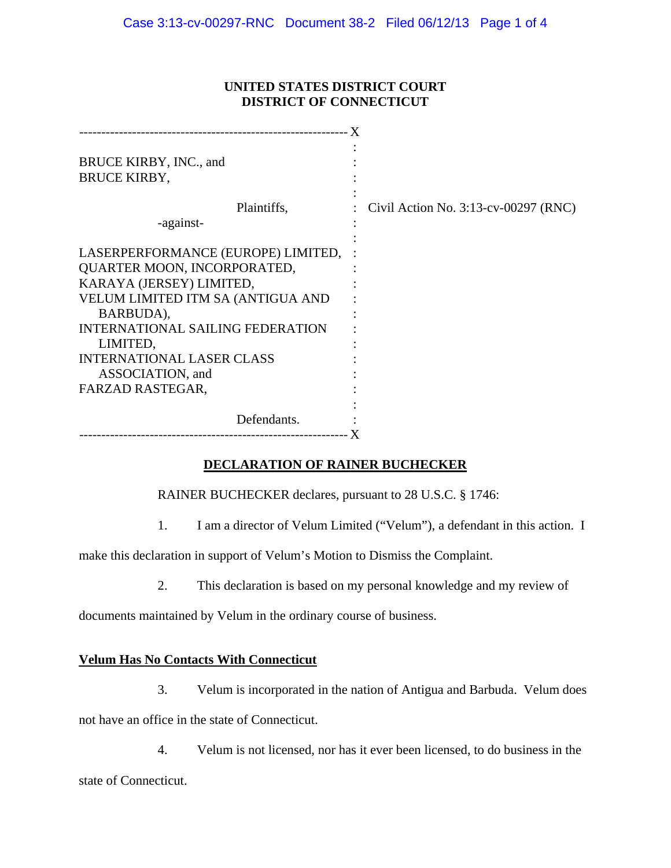### **UNITED STATES DISTRICT COURT DISTRICT OF CONNECTICUT**

| BRUCE KIRBY, INC., and                  |                                         |
|-----------------------------------------|-----------------------------------------|
| <b>BRUCE KIRBY,</b>                     |                                         |
| Plaintiffs,                             | Civil Action No. $3:13$ -cv-00297 (RNC) |
| -against-                               |                                         |
|                                         |                                         |
| LASERPERFORMANCE (EUROPE) LIMITED,      |                                         |
| QUARTER MOON, INCORPORATED,             |                                         |
| KARAYA (JERSEY) LIMITED,                |                                         |
| VELUM LIMITED ITM SA (ANTIGUA AND       |                                         |
| BARBUDA),                               |                                         |
| <b>INTERNATIONAL SAILING FEDERATION</b> |                                         |
| LIMITED,                                |                                         |
| <b>INTERNATIONAL LASER CLASS</b>        |                                         |
| ASSOCIATION, and                        |                                         |
| FARZAD RASTEGAR,                        |                                         |
|                                         |                                         |
| Defendants.                             |                                         |
|                                         |                                         |

## **DECLARATION OF RAINER BUCHECKER**

RAINER BUCHECKER declares, pursuant to 28 U.S.C. § 1746:

1. I am a director of Velum Limited ("Velum"), a defendant in this action. I

make this declaration in support of Velum's Motion to Dismiss the Complaint.

2. This declaration is based on my personal knowledge and my review of

documents maintained by Velum in the ordinary course of business.

## **Velum Has No Contacts With Connecticut**

3. Velum is incorporated in the nation of Antigua and Barbuda. Velum does

not have an office in the state of Connecticut.

4. Velum is not licensed, nor has it ever been licensed, to do business in the

state of Connecticut.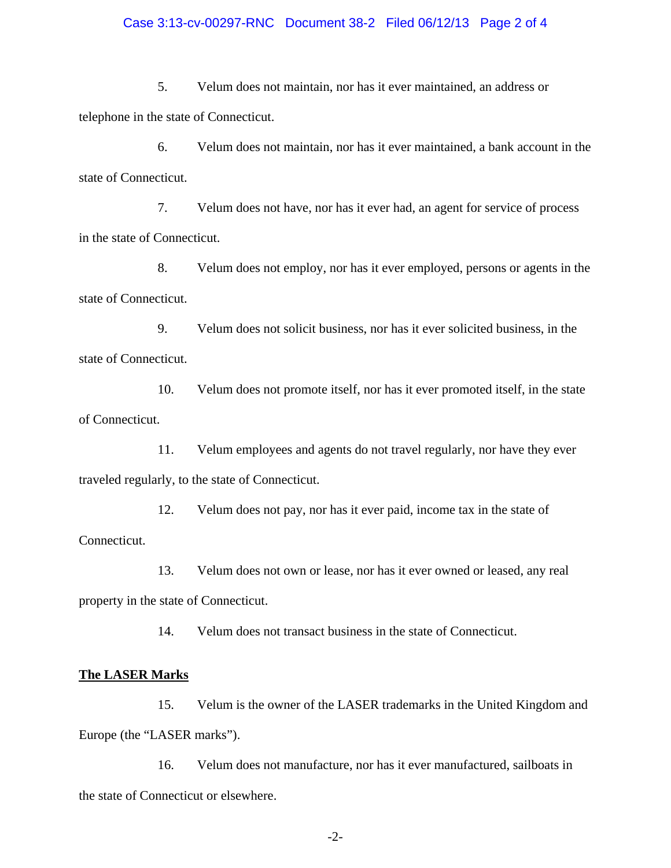#### Case 3:13-cv-00297-RNC Document 38-2 Filed 06/12/13 Page 2 of 4

5. Velum does not maintain, nor has it ever maintained, an address or telephone in the state of Connecticut.

6. Velum does not maintain, nor has it ever maintained, a bank account in the state of Connecticut.

7. Velum does not have, nor has it ever had, an agent for service of process in the state of Connecticut.

8. Velum does not employ, nor has it ever employed, persons or agents in the state of Connecticut.

9. Velum does not solicit business, nor has it ever solicited business, in the state of Connecticut.

10. Velum does not promote itself, nor has it ever promoted itself, in the state of Connecticut.

11. Velum employees and agents do not travel regularly, nor have they ever traveled regularly, to the state of Connecticut.

12. Velum does not pay, nor has it ever paid, income tax in the state of Connecticut.

13. Velum does not own or lease, nor has it ever owned or leased, any real property in the state of Connecticut.

14. Velum does not transact business in the state of Connecticut.

#### **The LASER Marks**

15. Velum is the owner of the LASER trademarks in the United Kingdom and Europe (the "LASER marks").

16. Velum does not manufacture, nor has it ever manufactured, sailboats in the state of Connecticut or elsewhere.

-2-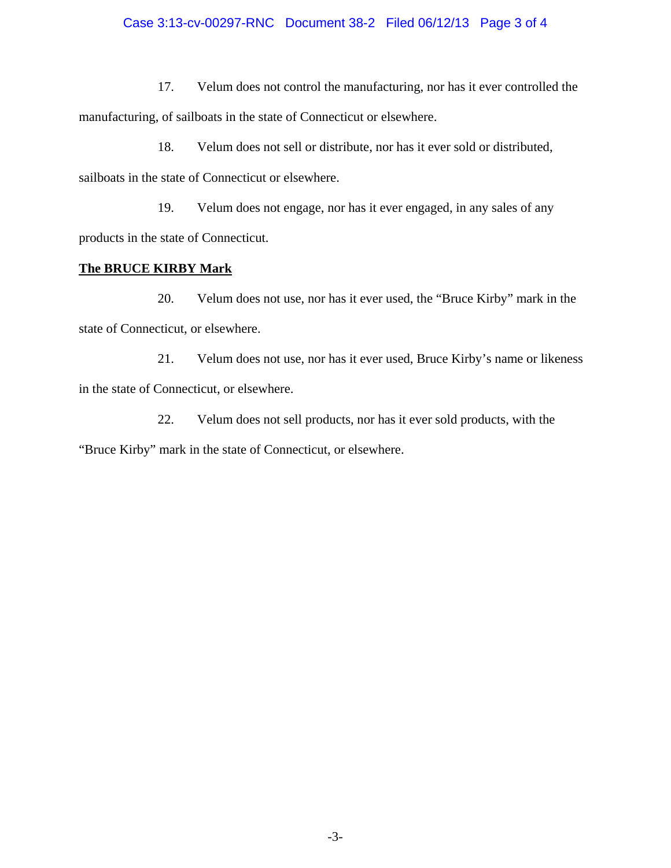# Case 3:13-cv-00297-RNC Document 38-2 Filed 06/12/13 Page 3 of 4

17. Velum does not control the manufacturing, nor has it ever controlled the manufacturing, of sailboats in the state of Connecticut or elsewhere.

18. Velum does not sell or distribute, nor has it ever sold or distributed, sailboats in the state of Connecticut or elsewhere.

19. Velum does not engage, nor has it ever engaged, in any sales of any products in the state of Connecticut.

## **The BRUCE KIRBY Mark**

20. Velum does not use, nor has it ever used, the "Bruce Kirby" mark in the state of Connecticut, or elsewhere.

21. Velum does not use, nor has it ever used, Bruce Kirby's name or likeness in the state of Connecticut, or elsewhere.

22. Velum does not sell products, nor has it ever sold products, with the "Bruce Kirby" mark in the state of Connecticut, or elsewhere.